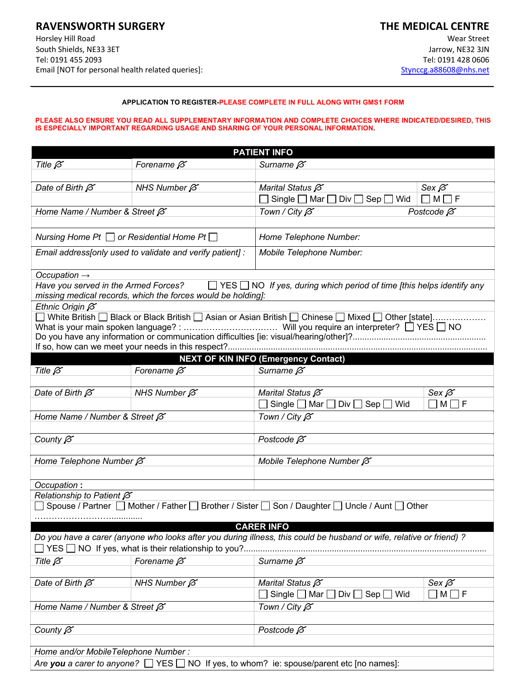## **RAVENSWORTH SURGERY**

Horsley Hill Road South Shields, NE33 3ET Tel: 0191 455 2093 Email [NOT for personal health related queries]:

# **THE MEDICAL CENTRE**

Wear Street Jarrow, NE32 3JN Tel: 0191 428 0606 Stynccg.a88608@nhs.net

#### **APPLICATION TO REGISTER-PLEASE COMPLETE IN FULL ALONG WITH GMS1 FORM**

#### **PLEASE ALSO ENSURE YOU READ ALL SUPPLEMENTARY INFORMATION AND COMPLETE CHOICES WHERE INDICATED/DESIRED, THIS IS ESPECIALLY IMPORTANT REGARDING USAGE AND SHARING OF YOUR PERSONAL INFORMATION.**

| <b>PATIENT INFO</b>                                       |                                                              |                                                                                                                                          |                   |  |
|-----------------------------------------------------------|--------------------------------------------------------------|------------------------------------------------------------------------------------------------------------------------------------------|-------------------|--|
| Title $\beta$                                             | Forename $\beta$                                             | Surname $\beta$                                                                                                                          |                   |  |
|                                                           |                                                              |                                                                                                                                          |                   |  |
| Date of Birth $\beta$                                     | NHS Number $\beta$                                           | Marital Status $\beta$                                                                                                                   | Sex $\beta$       |  |
|                                                           |                                                              | Single $\Box$ Mar $\Box$ Div $\Box$ Sep $\Box$ Wid                                                                                       | $\Box$ M $\Box$ F |  |
| Home Name / Number & Street $\beta$                       |                                                              | Town / City $\beta$                                                                                                                      | Postcode $\beta$  |  |
|                                                           |                                                              |                                                                                                                                          |                   |  |
| Nursing Home Pt $\Box$ or Residential Home Pt $\Box$      |                                                              | Home Telephone Number:                                                                                                                   |                   |  |
| Email address[only used to validate and verify patient] : |                                                              | Mobile Telephone Number:                                                                                                                 |                   |  |
| Occupation $\rightarrow$                                  |                                                              |                                                                                                                                          |                   |  |
|                                                           |                                                              | Have you served in the Armed Forces? $\Box$ YES $\Box$ NO If yes, during which period of time [this helps identify any                   |                   |  |
|                                                           | missing medical records, which the forces would be holding]: |                                                                                                                                          |                   |  |
| Ethnic Origin $\beta$                                     |                                                              |                                                                                                                                          |                   |  |
|                                                           |                                                              | ◯ White British ◯ Black or Black British ◯ Asian or Asian British ◯ Chinese ◯ Mixed ◯ Other [state]                                      |                   |  |
|                                                           |                                                              |                                                                                                                                          |                   |  |
|                                                           |                                                              |                                                                                                                                          |                   |  |
|                                                           |                                                              | <b>NEXT OF KIN INFO (Emergency Contact)</b>                                                                                              |                   |  |
| Title $\beta$                                             | Forename $\beta$                                             | Surname $\beta$                                                                                                                          |                   |  |
|                                                           |                                                              |                                                                                                                                          |                   |  |
| Date of Birth $\beta$                                     | NHS Number $\beta$                                           | Marital Status $\beta$                                                                                                                   | Sex $\beta$       |  |
|                                                           |                                                              | Single $\Box$ Mar $\Box$ Div $\Box$<br>Sep<br>Wid                                                                                        | M  <br>-l F       |  |
| Home Name / Number & Street $\beta$                       |                                                              | Town / City $\beta$                                                                                                                      |                   |  |
|                                                           |                                                              |                                                                                                                                          |                   |  |
| County $\beta$                                            |                                                              | Postcode $\beta$                                                                                                                         |                   |  |
|                                                           |                                                              |                                                                                                                                          |                   |  |
| Home Telephone Number $\beta$                             |                                                              | Mobile Telephone Number $\beta$                                                                                                          |                   |  |
| Occupation:                                               |                                                              |                                                                                                                                          |                   |  |
| Relationship to Patient $\beta$                           |                                                              |                                                                                                                                          |                   |  |
|                                                           |                                                              | Spouse / Partner   Mother / Father   Brother / Sister   Son / Daughter   Uncle / Aunt   Other                                            |                   |  |
|                                                           |                                                              |                                                                                                                                          |                   |  |
|                                                           |                                                              | <b>CARER INFO</b><br>Do you have a carer (anyone who looks after you during illness, this could be husband or wife, relative or friend)? |                   |  |
|                                                           |                                                              |                                                                                                                                          |                   |  |
| Title $\beta$                                             | Forename $\beta$                                             | Surname $\beta$                                                                                                                          |                   |  |
|                                                           |                                                              |                                                                                                                                          |                   |  |
| Date of Birth $\beta$                                     | NHS Number $\beta$                                           | Marital Status $\beta$                                                                                                                   | Sex $\beta$       |  |
|                                                           |                                                              | Wid<br>Single $\Box$ Mar $\Box$<br>Sep [<br>$Div$ $\Box$                                                                                 | M [<br>$\Box$ F   |  |
|                                                           |                                                              | Town / City $\beta$                                                                                                                      |                   |  |
| Home Name / Number & Street $\beta$                       |                                                              |                                                                                                                                          |                   |  |
| County $\beta$                                            |                                                              | Postcode $\beta$                                                                                                                         |                   |  |
|                                                           |                                                              |                                                                                                                                          |                   |  |
| Home and/or MobileTelephone Number:                       |                                                              |                                                                                                                                          |                   |  |
|                                                           |                                                              | Are you a carer to anyone? $\Box$ YES $\Box$ NO If yes, to whom? ie: spouse/parent etc [no names]:                                       |                   |  |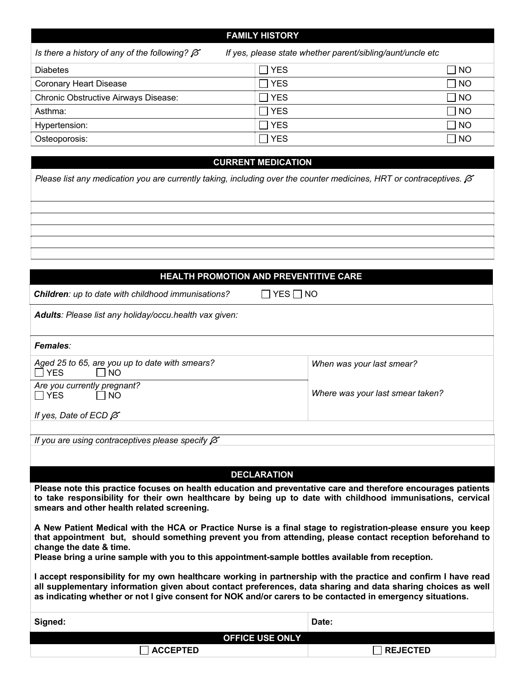|                                                                                                                   | <b>FAMILY HISTORY</b> |      |
|-------------------------------------------------------------------------------------------------------------------|-----------------------|------|
| Is there a history of any of the following? $\beta$<br>If yes, please state whether parent/sibling/aunt/uncle etc |                       |      |
| <b>Diabetes</b>                                                                                                   | <b>YES</b>            | NO   |
| <b>Coronary Heart Disease</b>                                                                                     | <b>YES</b>            | NO   |
| <b>Chronic Obstructive Airways Disease:</b>                                                                       | <b>YES</b>            | ר NO |
| Asthma:                                                                                                           | TYES                  | NO   |
| Hypertension:                                                                                                     | <b>YES</b>            | NO   |
| Osteoporosis:                                                                                                     | <b>YES</b>            | I NO |

#### **CURRENT MEDICATION**

*Please list any medication you are currently taking, including over the counter medicines, HRT or contraceptives.* Í

## **HEALTH PROMOTION AND PREVENTITIVE CARE**

 $\Box$  YES  $\Box$  NO

| <b>Children:</b> up to date with childhood immunisations? |
|-----------------------------------------------------------|
|                                                           |

*Adults: Please list any holiday/occu.health vax given:*

| Females:                                                                    |                                  |  |  |  |
|-----------------------------------------------------------------------------|----------------------------------|--|--|--|
| Aged 25 to 65, are you up to date with smears?<br>$\Box$ YES<br>$\sqcap$ NO | When was your last smear?        |  |  |  |
| Are you currently pregnant?<br>$\Box$ YES<br>I NO                           | Where was your last smear taken? |  |  |  |
| If yes, Date of ECD $\beta$                                                 |                                  |  |  |  |
|                                                                             |                                  |  |  |  |

*If you are using contraceptives please specify*  $\beta$ 

### **DECLARATION**

**Please note this practice focuses on health education and preventative care and therefore encourages patients to take responsibility for their own healthcare by being up to date with childhood immunisations, cervical smears and other health related screening.**

**A New Patient Medical with the HCA or Practice Nurse is a final stage to registration-please ensure you keep that appointment but, should something prevent you from attending, please contact reception beforehand to change the date & time.** 

**Please bring a urine sample with you to this appointment-sample bottles available from reception.**

**I accept responsibility for my own healthcare working in partnership with the practice and confirm I have read all supplementary information given about contact preferences, data sharing and data sharing choices as well as indicating whether or not I give consent for NOK and/or carers to be contacted in emergency situations.**

| Signed:           |                        | Date:             |
|-------------------|------------------------|-------------------|
|                   | <b>OFFICE USE ONLY</b> |                   |
| $\sqcap$ accepted |                        | $\sqcap$ REJECTED |
|                   |                        |                   |